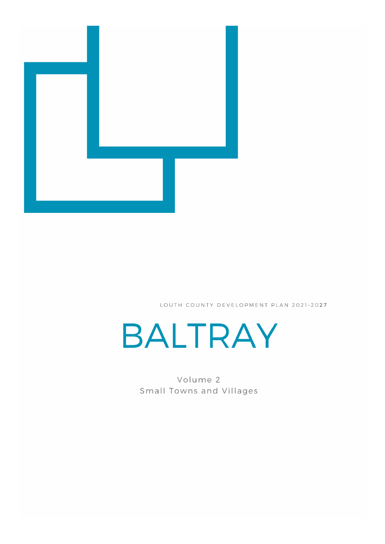

LOUTH COUNTY DEVELOPMENT PLAN 2021-2027



Volume 2 Small Towns and Villages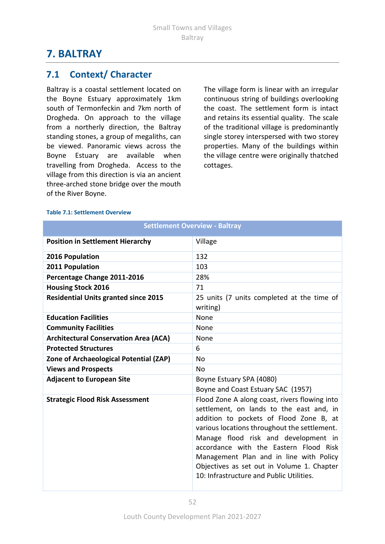# **7. BALTRAY**

### **7.1 Context/ Character**

Baltray is a coastal settlement located on the Boyne Estuary approximately 1km south of Termonfeckin and 7km north of Drogheda. On approach to the village from a northerly direction, the Baltray standing stones, a group of megaliths, can be viewed. Panoramic views across the Boyne Estuary are available when travelling from Drogheda. Access to the village from this direction is via an ancient three-arched stone bridge over the mouth of the River Boyne.

The village form is linear with an irregular continuous string of buildings overlooking the coast. The settlement form is intact and retains its essential quality. The scale of the traditional village is predominantly single storey interspersed with two storey properties. Many of the buildings within the village centre were originally thatched cottages.

|                                              | <b>Settlement Overview - Baltray</b>                                                                                                                                                                                                                                                                                                                                                                        |
|----------------------------------------------|-------------------------------------------------------------------------------------------------------------------------------------------------------------------------------------------------------------------------------------------------------------------------------------------------------------------------------------------------------------------------------------------------------------|
| <b>Position in Settlement Hierarchy</b>      | Village                                                                                                                                                                                                                                                                                                                                                                                                     |
| 2016 Population                              | 132                                                                                                                                                                                                                                                                                                                                                                                                         |
| 2011 Population                              | 103                                                                                                                                                                                                                                                                                                                                                                                                         |
| Percentage Change 2011-2016                  | 28%                                                                                                                                                                                                                                                                                                                                                                                                         |
| <b>Housing Stock 2016</b>                    | 71                                                                                                                                                                                                                                                                                                                                                                                                          |
| <b>Residential Units granted since 2015</b>  | 25 units (7 units completed at the time of<br>writing)                                                                                                                                                                                                                                                                                                                                                      |
| <b>Education Facilities</b>                  | None                                                                                                                                                                                                                                                                                                                                                                                                        |
| <b>Community Facilities</b>                  | None                                                                                                                                                                                                                                                                                                                                                                                                        |
| <b>Architectural Conservation Area (ACA)</b> | <b>None</b>                                                                                                                                                                                                                                                                                                                                                                                                 |
| <b>Protected Structures</b>                  | 6                                                                                                                                                                                                                                                                                                                                                                                                           |
| Zone of Archaeological Potential (ZAP)       | No                                                                                                                                                                                                                                                                                                                                                                                                          |
| <b>Views and Prospects</b>                   | No.                                                                                                                                                                                                                                                                                                                                                                                                         |
| <b>Adjacent to European Site</b>             | Boyne Estuary SPA (4080)                                                                                                                                                                                                                                                                                                                                                                                    |
|                                              | Boyne and Coast Estuary SAC (1957)                                                                                                                                                                                                                                                                                                                                                                          |
| <b>Strategic Flood Risk Assessment</b>       | Flood Zone A along coast, rivers flowing into<br>settlement, on lands to the east and, in<br>addition to pockets of Flood Zone B, at<br>various locations throughout the settlement.<br>Manage flood risk and development in<br>accordance with the Eastern Flood Risk<br>Management Plan and in line with Policy<br>Objectives as set out in Volume 1. Chapter<br>10: Infrastructure and Public Utilities. |

#### **Table 7.1: Settlement Overview**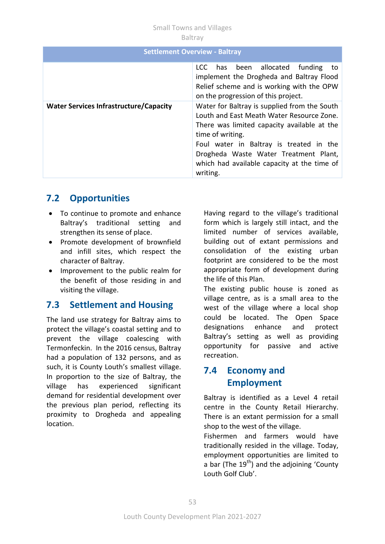#### Small Towns and Villages Baltray

|                                               | <b>Settlement Overview - Baltray</b>                                                                                                                                                                                                                                                                        |
|-----------------------------------------------|-------------------------------------------------------------------------------------------------------------------------------------------------------------------------------------------------------------------------------------------------------------------------------------------------------------|
|                                               | has been allocated funding<br>LCC.<br>to<br>implement the Drogheda and Baltray Flood<br>Relief scheme and is working with the OPW<br>on the progression of this project.                                                                                                                                    |
| <b>Water Services Infrastructure/Capacity</b> | Water for Baltray is supplied from the South<br>Louth and East Meath Water Resource Zone.<br>There was limited capacity available at the<br>time of writing.<br>Foul water in Baltray is treated in the<br>Drogheda Waste Water Treatment Plant,<br>which had available capacity at the time of<br>writing. |

## **7.2 Opportunities**

- To continue to promote and enhance Baltray's traditional setting and strengthen its sense of place.
- Promote development of brownfield and infill sites, which respect the character of Baltray.
- Improvement to the public realm for the benefit of those residing in and visiting the village.

### **7.3 Settlement and Housing**

The land use strategy for Baltray aims to protect the village's coastal setting and to prevent the village coalescing with Termonfeckin. In the 2016 census, Baltray had a population of 132 persons, and as such, it is County Louth's smallest village. In proportion to the size of Baltray, the village has experienced significant demand for residential development over the previous plan period, reflecting its proximity to Drogheda and appealing location.

Having regard to the village's traditional form which is largely still intact, and the limited number of services available, building out of extant permissions and consolidation of the existing urban footprint are considered to be the most appropriate form of development during the life of this Plan.

The existing public house is zoned as village centre, as is a small area to the west of the village where a local shop could be located. The Open Space designations enhance and protect Baltray's setting as well as providing opportunity for passive and active recreation.

### **7.4 Economy and Employment**

Baltray is identified as a Level 4 retail centre in the County Retail Hierarchy. There is an extant permission for a small shop to the west of the village.

Fishermen and farmers would have traditionally resided in the village. Today, employment opportunities are limited to a bar (The  $19<sup>th</sup>$ ) and the adjoining 'County Louth Golf Club'.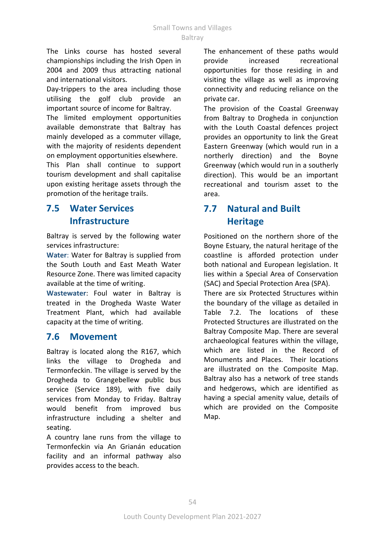The Links course has hosted several championships including the Irish Open in 2004 and 2009 thus attracting national and international visitors.

Day-trippers to the area including those utilising the golf club provide an important source of income for Baltray.

The limited employment opportunities available demonstrate that Baltray has mainly developed as a commuter village, with the majority of residents dependent on employment opportunities elsewhere.

This Plan shall continue to support tourism development and shall capitalise upon existing heritage assets through the promotion of the heritage trails.

### **7.5 Water Services Infrastructure**

Baltray is served by the following water services infrastructure:

**Water**: Water for Baltray is supplied from the South Louth and East Meath Water Resource Zone. There was limited capacity available at the time of writing.

**Wastewater**: Foul water in Baltray is treated in the Drogheda Waste Water Treatment Plant, which had available capacity at the time of writing.

#### **7.6 Movement**

Baltray is located along the R167, which links the village to Drogheda and Termonfeckin. The village is served by the Drogheda to Grangebellew public bus service (Service 189), with five daily services from Monday to Friday. Baltray would benefit from improved bus infrastructure including a shelter and seating.

A country lane runs from the village to Termonfeckin via An Grianán education facility and an informal pathway also provides access to the beach.

The enhancement of these paths would provide increased recreational opportunities for those residing in and visiting the village as well as improving connectivity and reducing reliance on the private car.

The provision of the Coastal Greenway from Baltray to Drogheda in conjunction with the Louth Coastal defences project provides an opportunity to link the Great Eastern Greenway (which would run in a northerly direction) and the Boyne Greenway (which would run in a southerly direction). This would be an important recreational and tourism asset to the area.

## **7.7 Natural and Built Heritage**

Positioned on the northern shore of the Boyne Estuary, the natural heritage of the coastline is afforded protection under both national and European legislation. It lies within a Special Area of Conservation (SAC) and Special Protection Area (SPA).

There are six Protected Structures within the boundary of the village as detailed in Table 7.2. The locations of these Protected Structures are illustrated on the Baltray Composite Map. There are several archaeological features within the village, which are listed in the Record of Monuments and Places. Their locations are illustrated on the Composite Map. Baltray also has a network of tree stands and hedgerows, which are identified as having a special amenity value, details of which are provided on the Composite Map.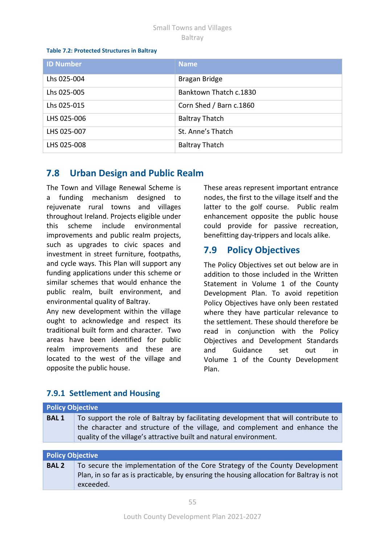#### Small Towns and Villages Baltray

#### **Table 7.2: Protected Structures in Baltray**

| <b>ID Number</b> | <b>Name</b>             |
|------------------|-------------------------|
| Lhs 025-004      | Bragan Bridge           |
| Lhs 025-005      | Banktown Thatch c.1830  |
| Lhs 025-015      | Corn Shed / Barn c.1860 |
| LHS 025-006      | <b>Baltray Thatch</b>   |
| LHS 025-007      | St. Anne's Thatch       |
| LHS 025-008      | <b>Baltray Thatch</b>   |

### **7.8 Urban Design and Public Realm**

The Town and Village Renewal Scheme is a funding mechanism designed to rejuvenate rural towns and villages throughout Ireland. Projects eligible under this scheme include environmental improvements and public realm projects, such as upgrades to civic spaces and investment in street furniture, footpaths, and cycle ways. This Plan will support any funding applications under this scheme or similar schemes that would enhance the public realm, built environment, and environmental quality of Baltray.

Any new development within the village ought to acknowledge and respect its traditional built form and character. Two areas have been identified for public realm improvements and these are located to the west of the village and opposite the public house.

These areas represent important entrance nodes, the first to the village itself and the latter to the golf course. Public realm enhancement opposite the public house could provide for passive recreation, benefitting day-trippers and locals alike.

### **7.9 Policy Objectives**

The Policy Objectives set out below are in addition to those included in the Written Statement in Volume 1 of the County Development Plan. To avoid repetition Policy Objectives have only been restated where they have particular relevance to the settlement. These should therefore be read in conjunction with the Policy Objectives and Development Standards and Guidance set out in Volume 1 of the County Development Plan.

# **7.9.1 Settlement and Housing**

| <b>Policy Objective</b> |                                                                                                                                                                                                                                        |  |
|-------------------------|----------------------------------------------------------------------------------------------------------------------------------------------------------------------------------------------------------------------------------------|--|
| <b>BAL1</b>             | To support the role of Baltray by facilitating development that will contribute to<br>the character and structure of the village, and complement and enhance the<br>quality of the village's attractive built and natural environment. |  |
|                         |                                                                                                                                                                                                                                        |  |
| <b>Policy Objective</b> |                                                                                                                                                                                                                                        |  |

| <b>BAL 2</b> | To secure the implementation of the Core Strategy of the County Development              |
|--------------|------------------------------------------------------------------------------------------|
|              | Plan, in so far as is practicable, by ensuring the housing allocation for Baltray is not |
|              | exceeded.                                                                                |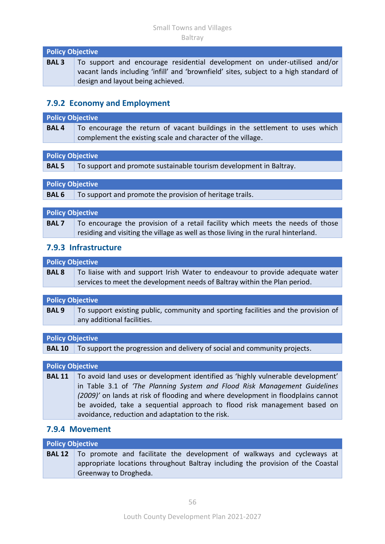| <b>Policy Objective</b> |                                                                                       |
|-------------------------|---------------------------------------------------------------------------------------|
| <b>BAL3</b>             | To support and encourage residential development on under-utilised and/or             |
|                         | vacant lands including 'infill' and 'brownfield' sites, subject to a high standard of |
|                         | design and layout being achieved.                                                     |

#### **7.9.2 Economy and Employment**

#### **Policy Objective BAL 4** To encourage the return of vacant buildings in the settlement to uses which complement the existing scale and character of the village.

|  | <b>Policy Objective</b> |
|--|-------------------------|
|  |                         |

**BAL 5** To support and promote sustainable tourism development in Baltray.

| <b>Policy Objective</b> |                                                                       |
|-------------------------|-----------------------------------------------------------------------|
|                         | <b>BAL 6</b> To support and promote the provision of heritage trails. |
|                         |                                                                       |
| <b>Policy Objective</b> |                                                                       |

| <b>BAL7</b> | To encourage the provision of a retail facility which meets the needs of those     |
|-------------|------------------------------------------------------------------------------------|
|             | residing and visiting the village as well as those living in the rural hinterland. |

#### **7.9.3 Infrastructure**

| <b>Policy Objective</b> |                                                                               |
|-------------------------|-------------------------------------------------------------------------------|
| <b>BAL 8</b>            | To liaise with and support Irish Water to endeavour to provide adequate water |
|                         | services to meet the development needs of Baltray within the Plan period.     |

# **Policy Objective**

**BAL 9** To support existing public, community and sporting facilities and the provision of any additional facilities.

#### **Policy Objective**

**BAL 10** To support the progression and delivery of social and community projects.

| <b>Policy Objective</b> |                                                                                        |  |
|-------------------------|----------------------------------------------------------------------------------------|--|
| <b>BAL 11</b>           | $\Box$ To avoid land uses or development identified as 'highly vulnerable development' |  |
|                         | in Table 3.1 of 'The Planning System and Flood Risk Management Guidelines              |  |
|                         | (2009)' on lands at risk of flooding and where development in floodplains cannot       |  |
|                         | be avoided, take a sequential approach to flood risk management based on               |  |
|                         | avoidance, reduction and adaptation to the risk.                                       |  |

#### **7.9.4 Movement**

| <b>Policy Objective</b> |                                                                                       |  |
|-------------------------|---------------------------------------------------------------------------------------|--|
|                         | <b>BAL12</b>   To promote and facilitate the development of walkways and cycleways at |  |
|                         | appropriate locations throughout Baltray including the provision of the Coastal       |  |
|                         | Greenway to Drogheda.                                                                 |  |